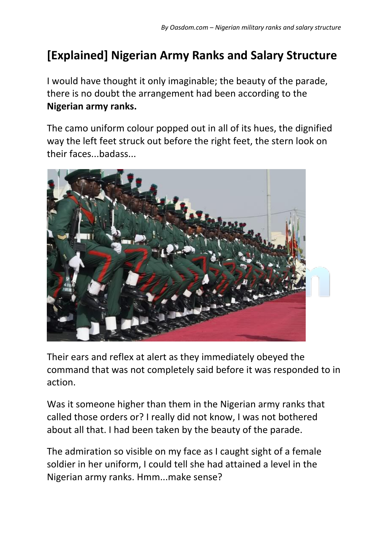# **[Explained] Nigerian Army Ranks and Salary Structure**

I would have thought it only imaginable; the beauty of the parade, there is no doubt the arrangement had been according to the **Nigerian army ranks.**

The camo uniform colour popped out in all of its hues, the dignified way the left feet struck out before the right feet, the stern look on their faces...badass...



Their ears and reflex at alert as they immediately obeyed the command that was not completely said before it was responded to in action.

Was it someone higher than them in the Nigerian army ranks that called those orders or? I really did not know, I was not bothered about all that. I had been taken by the beauty of the parade.

The admiration so visible on my face as I caught sight of a female soldier in her uniform, I could tell she had attained a level in the Nigerian army ranks. Hmm...make sense?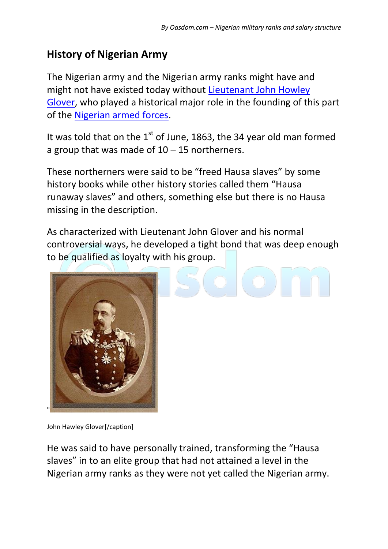# **History of Nigerian Army**

The Nigerian army and the Nigerian army ranks might have and might not have existed today without Lieutenant John Howley [Glover,](https://en.wikipedia.org/wiki/John_Hawley_Glover) who played a historical major role in the founding of this part of the [Nigerian armed forces.](http://www.army.mil.ng/)

It was told that on the  $1<sup>st</sup>$  of June, 1863, the 34 year old man formed a group that was made of  $10 - 15$  northerners.

These northerners were said to be "freed Hausa slaves" by some history books while other history stories called them "Hausa runaway slaves" and others, something else but there is no Hausa missing in the description.

As characterized with Lieutenant John Glover and his normal controversial ways, he developed a tight bond that was deep enough to be qualified as loyalty with his group.



John Hawley Glover[/caption]

He was said to have personally trained, transforming the "Hausa slaves" in to an elite group that had not attained a level in the Nigerian army ranks as they were not yet called the Nigerian army.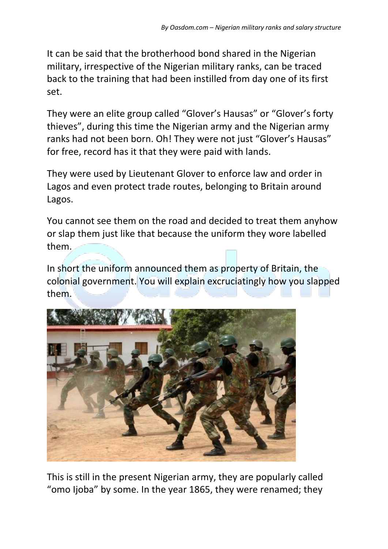It can be said that the brotherhood bond shared in the Nigerian military, irrespective of the Nigerian military ranks, can be traced back to the training that had been instilled from day one of its first set.

They were an elite group called "Glover's Hausas" or "Glover's forty thieves", during this time the Nigerian army and the Nigerian army ranks had not been born. Oh! They were not just "Glover's Hausas" for free, record has it that they were paid with lands.

They were used by Lieutenant Glover to enforce law and order in Lagos and even protect trade routes, belonging to Britain around Lagos.

You cannot see them on the road and decided to treat them anyhow or slap them just like that because the uniform they wore labelled them.

In short the uniform announced them as property of Britain, the colonial government. You will explain excruciatingly how you slapped them.



This is still in the present Nigerian army, they are popularly called "omo Ijoba" by some. In the year 1865, they were renamed; they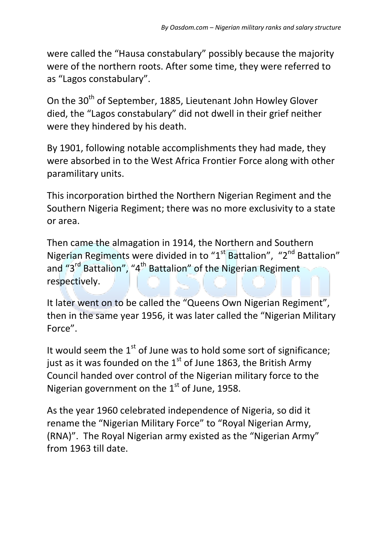were called the "Hausa constabulary" possibly because the majority were of the northern roots. After some time, they were referred to as "Lagos constabulary".

On the 30<sup>th</sup> of September, 1885, Lieutenant John Howley Glover died, the "Lagos constabulary" did not dwell in their grief neither were they hindered by his death.

By 1901, following notable accomplishments they had made, they were absorbed in to the West Africa Frontier Force along with other paramilitary units.

This incorporation birthed the Northern Nigerian Regiment and the Southern Nigeria Regiment; there was no more exclusivity to a state or area.

Then came the almagation in 1914, the Northern and Southern Nigerian Regiments were divided in to "1<sup>st</sup> Battalion", "2<sup>nd</sup> Battalion" and "3<sup>rd</sup> Battalion", "4<sup>th</sup> Battalion" of the Nigerian Regiment respectively.

It later went on to be called the "Queens Own Nigerian Regiment", then in the same year 1956, it was later called the "Nigerian Military Force".

It would seem the  $1<sup>st</sup>$  of June was to hold some sort of significance: just as it was founded on the  $1<sup>st</sup>$  of June 1863, the British Army Council handed over control of the Nigerian military force to the Nigerian government on the  $1<sup>st</sup>$  of June, 1958.

As the year 1960 celebrated independence of Nigeria, so did it rename the "Nigerian Military Force" to "Royal Nigerian Army, (RNA)". The Royal Nigerian army existed as the "Nigerian Army" from 1963 till date.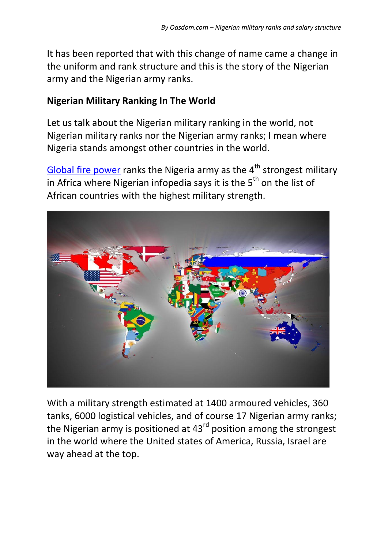It has been reported that with this change of name came a change in the uniform and rank structure and this is the story of the Nigerian army and the Nigerian army ranks.

#### **Nigerian Military Ranking In The World**

Let us talk about the Nigerian military ranking in the world, not Nigerian military ranks nor the Nigerian army ranks; I mean where Nigeria stands amongst other countries in the world.

[Global fire power](https://www.globalfirepower.com/countries-listing.asp) ranks the Nigeria army as the  $4<sup>th</sup>$  strongest military in Africa where Nigerian infopedia says it is the  $5<sup>th</sup>$  on the list of African countries with the highest military strength.



With a military strength estimated at 1400 armoured vehicles, 360 tanks, 6000 logistical vehicles, and of course 17 Nigerian army ranks; the Nigerian army is positioned at 43<sup>rd</sup> position among the strongest in the world where the United states of America, Russia, Israel are way ahead at the top.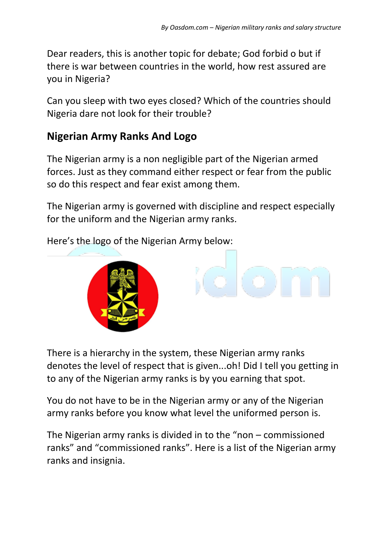Dear readers, this is another topic for debate; God forbid o but if there is war between countries in the world, how rest assured are you in Nigeria?

Can you sleep with two eyes closed? Which of the countries should Nigeria dare not look for their trouble?

### **Nigerian Army Ranks And Logo**

The Nigerian army is a non negligible part of the Nigerian armed forces. Just as they command either respect or fear from the public so do this respect and fear exist among them.

The Nigerian army is governed with discipline and respect especially for the uniform and the Nigerian army ranks.

Here's the logo of the Nigerian Army below:



There is a hierarchy in the system, these Nigerian army ranks denotes the level of respect that is given...oh! Did I tell you getting in to any of the Nigerian army ranks is by you earning that spot.

You do not have to be in the Nigerian army or any of the Nigerian army ranks before you know what level the uniformed person is.

The Nigerian army ranks is divided in to the "non – commissioned ranks" and "commissioned ranks". Here is a list of the Nigerian army ranks and insignia.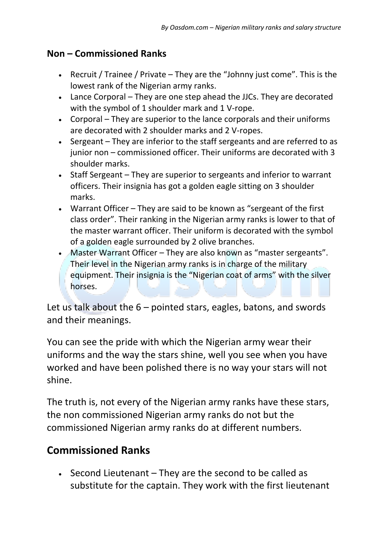#### **Non – Commissioned Ranks**

- **•** Recruit / Trainee / Private They are the "Johnny just come". This is the lowest rank of the Nigerian army ranks.
- Lance Corporal They are one step ahead the JJCs. They are decorated with the symbol of 1 shoulder mark and 1 V-rope.
- Corporal They are superior to the lance corporals and their uniforms are decorated with 2 shoulder marks and 2 V-ropes.
- Sergeant They are inferior to the staff sergeants and are referred to as junior non – commissioned officer. Their uniforms are decorated with 3 shoulder marks.
- Staff Sergeant They are superior to sergeants and inferior to warrant officers. Their insignia has got a golden eagle sitting on 3 shoulder marks.
- Warrant Officer They are said to be known as "sergeant of the first class order". Their ranking in the Nigerian army ranks is lower to that of the master warrant officer. Their uniform is decorated with the symbol of a golden eagle surrounded by 2 olive branches.
- Master Warrant Officer They are also known as "master sergeants". Their level in the Nigerian army ranks is in charge of the military equipment. Their insignia is the "Nigerian coat of arms" with the silver horses.

Let us talk about the 6 – pointed stars, eagles, batons, and swords and their meanings.

You can see the pride with which the Nigerian army wear their uniforms and the way the stars shine, well you see when you have worked and have been polished there is no way your stars will not shine.

The truth is, not every of the Nigerian army ranks have these stars, the non commissioned Nigerian army ranks do not but the commissioned Nigerian army ranks do at different numbers.

### **Commissioned Ranks**

 $\cdot$  Second Lieutenant – They are the second to be called as substitute for the captain. They work with the first lieutenant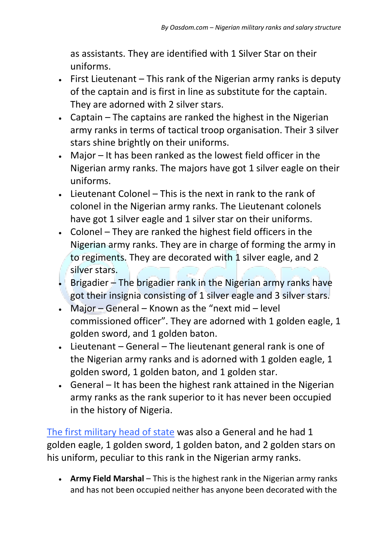as assistants. They are identified with 1 Silver Star on their uniforms.

- First Lieutenant This rank of the Nigerian army ranks is deputy of the captain and is first in line as substitute for the captain. They are adorned with 2 silver stars.
- Captain The captains are ranked the highest in the Nigerian army ranks in terms of tactical troop organisation. Their 3 silver stars shine brightly on their uniforms.
- Major It has been ranked as the lowest field officer in the Nigerian army ranks. The majors have got 1 silver eagle on their uniforms.
- $\cdot$  Lieutenant Colonel This is the next in rank to the rank of colonel in the Nigerian army ranks. The Lieutenant colonels have got 1 silver eagle and 1 silver star on their uniforms.
- Colonel They are ranked the highest field officers in the Nigerian army ranks. They are in charge of forming the army in to regiments. They are decorated with 1 silver eagle, and 2 silver stars.
- Brigadier The brigadier rank in the Nigerian army ranks have got their insignia consisting of 1 silver eagle and 3 silver stars.
- Major General Known as the "next mid level commissioned officer". They are adorned with 1 golden eagle, 1 golden sword, and 1 golden baton.
- Lieutenant General The lieutenant general rank is one of the Nigerian army ranks and is adorned with 1 golden eagle, 1 golden sword, 1 golden baton, and 1 golden star.
- General It has been the highest rank attained in the Nigerian army ranks as the rank superior to it has never been occupied in the history of Nigeria.

[The first military head of state](https://www.oasdom.com/who-was-the-first-military-head-of-state-in-nigeria/) was also a General and he had 1 golden eagle, 1 golden sword, 1 golden baton, and 2 golden stars on his uniform, peculiar to this rank in the Nigerian army ranks.

 **Army Field Marshal** – This is the highest rank in the Nigerian army ranks and has not been occupied neither has anyone been decorated with the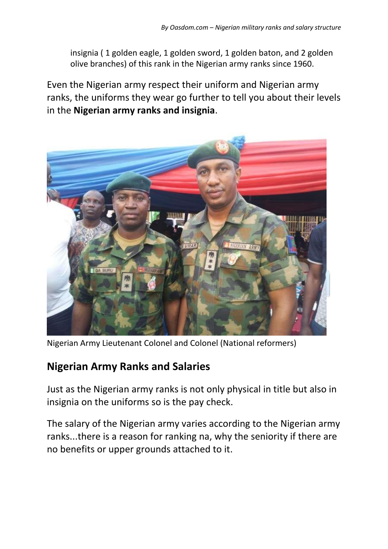insignia ( 1 golden eagle, 1 golden sword, 1 golden baton, and 2 golden olive branches) of this rank in the Nigerian army ranks since 1960.

Even the Nigerian army respect their uniform and Nigerian army ranks, the uniforms they wear go further to tell you about their levels in the **Nigerian army ranks and insignia**.



Nigerian Army Lieutenant Colonel and Colonel (National reformers)

### **Nigerian Army Ranks and Salaries**

Just as the Nigerian army ranks is not only physical in title but also in insignia on the uniforms so is the pay check.

The salary of the Nigerian army varies according to the Nigerian army ranks...there is a reason for ranking na, why the seniority if there are no benefits or upper grounds attached to it.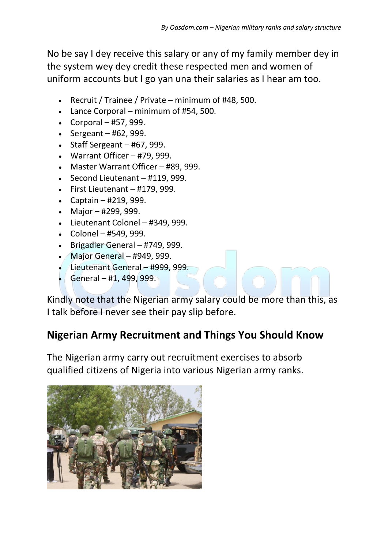No be say I dey receive this salary or any of my family member dey in the system wey dey credit these respected men and women of uniform accounts but I go yan una their salaries as I hear am too.

- Recruit / Trainee / Private minimum of #48, 500.
- Lance Corporal minimum of #54, 500.
- $\textdegree$  Corporal #57, 999.
- $\textdegree$  Sergeant #62, 999.
- $\bullet$  Staff Sergeant #67, 999.
- $\bullet$  Warrant Officer #79, 999.
- Master Warrant Officer #89, 999.
- $\cdot$  Second Lieutenant #119, 999.
- $\cdot$  First Lieutenant #179, 999.
- Captain #219, 999.
- Major #299, 999.
- Lieutenant Colonel #349, 999.
- $\text{-}$  Colonel #549, 999.
- $\bullet$  Brigadier General #749, 999.
- Major General #949, 999.
- Lieutenant General #999, 999.
- General #1, 499, 999.

Kindly note that the Nigerian army salary could be more than this, as I talk before I never see their pay slip before.

### **Nigerian Army Recruitment and Things You Should Know**

The Nigerian army carry out recruitment exercises to absorb qualified citizens of Nigeria into various Nigerian army ranks.

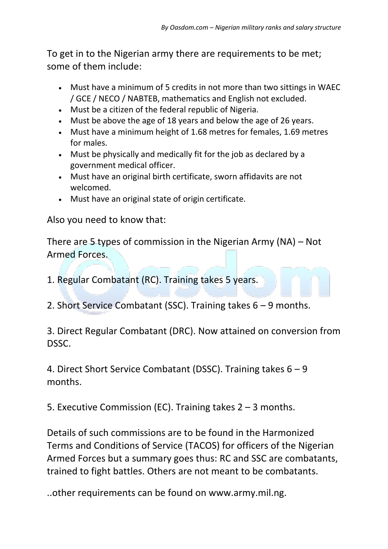To get in to the Nigerian army there are requirements to be met; some of them include:

- Must have a minimum of 5 credits in not more than two sittings in WAEC / GCE / NECO / NABTEB, mathematics and English not excluded.
- Must be a citizen of the federal republic of Nigeria.
- Must be above the age of 18 years and below the age of 26 years.
- Must have a minimum height of 1.68 metres for females, 1.69 metres for males.
- Must be physically and medically fit for the job as declared by a government medical officer.
- Must have an original birth certificate, sworn affidavits are not welcomed.
- Must have an original state of origin certificate.

Also you need to know that:

There are 5 types of commission in the Nigerian Army (NA) – Not Armed Forces.

1. Regular Combatant (RC). Training takes 5 years.

2. Short Service Combatant (SSC). Training takes 6 – 9 months.

3. Direct Regular Combatant (DRC). Now attained on conversion from DSSC.

4. Direct Short Service Combatant (DSSC). Training takes 6 – 9 months.

5. Executive Commission (EC). Training takes 2 – 3 months.

Details of such commissions are to be found in the Harmonized Terms and Conditions of Service (TACOS) for officers of the Nigerian Armed Forces but a summary goes thus: RC and SSC are combatants, trained to fight battles. Others are not meant to be combatants.

..other requirements can be found on www.army.mil.ng.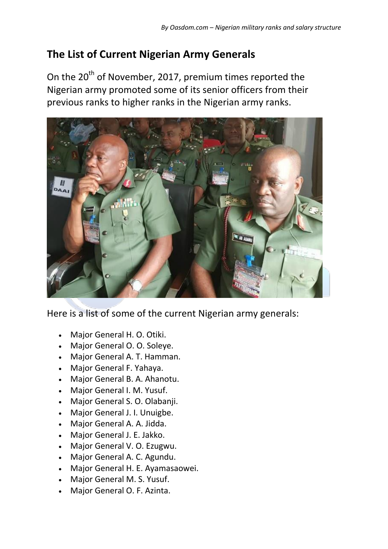# **The List of Current Nigerian Army Generals**

On the 20<sup>th</sup> of November, 2017, premium times reported the Nigerian army promoted some of its senior officers from their previous ranks to higher ranks in the Nigerian army ranks.



Here is a list of some of the current Nigerian army generals:

- Major General H. O. Otiki.
- Major General O. O. Soleye.
- Major General A. T. Hamman.
- Major General F. Yahaya.
- Major General B. A. Ahanotu.
- Major General I. M. Yusuf.
- Major General S. O. Olabanji.
- Major General J. I. Unuigbe.
- Major General A. A. Jidda.
- Major General J. E. Jakko.
- Major General V. O. Ezugwu.
- Major General A. C. Agundu.
- Major General H. E. Ayamasaowei.
- Major General M. S. Yusuf.
- Major General O. F. Azinta.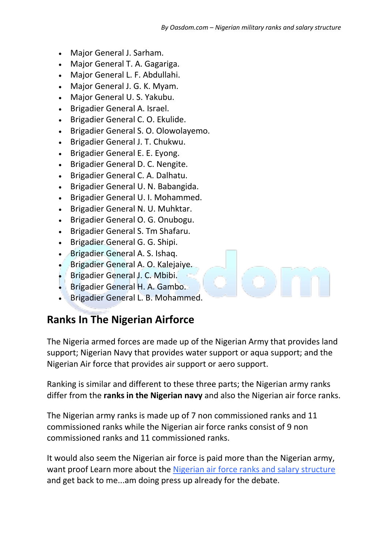- Major General J. Sarham.
- Major General T. A. Gagariga.
- Major General L. F. Abdullahi.
- Major General J. G. K. Myam.
- Major General U. S. Yakubu.
- Brigadier General A. Israel.
- Brigadier General C. O. Ekulide.
- Brigadier General S. O. Olowolayemo.
- Brigadier General J. T. Chukwu.
- Brigadier General E. E. Eyong.
- Brigadier General D. C. Nengite.
- Brigadier General C. A. Dalhatu.
- Brigadier General U. N. Babangida.
- Brigadier General U. I. Mohammed.
- Brigadier General N. U. Muhktar.
- Brigadier General O. G. Onubogu.
- Brigadier General S. Tm Shafaru.
- Brigadier General G. G. Shipi.
- Brigadier General A. S. Ishaq.
- Brigadier General A. O. Kalejaiye.
- Brigadier General J. C. Mbibi.
- Brigadier General H. A. Gambo.
- Brigadier General L. B. Mohammed.

#### **Ranks In The Nigerian Airforce**

The Nigeria armed forces are made up of the Nigerian Army that provides land support; Nigerian Navy that provides water support or aqua support; and the Nigerian Air force that provides air support or aero support.

Ranking is similar and different to these three parts; the Nigerian army ranks differ from the **ranks in the Nigerian navy** and also the Nigerian air force ranks.

The Nigerian army ranks is made up of 7 non commissioned ranks and 11 commissioned ranks while the Nigerian air force ranks consist of 9 non commissioned ranks and 11 commissioned ranks.

It would also seem the Nigerian air force is paid more than the Nigerian army, want proof Learn more about the [Nigerian air force ranks and salary structure](https://www.oasdom.com/nigerian-air-force-ranks-salary-structure/) and get back to me...am doing press up already for the debate.